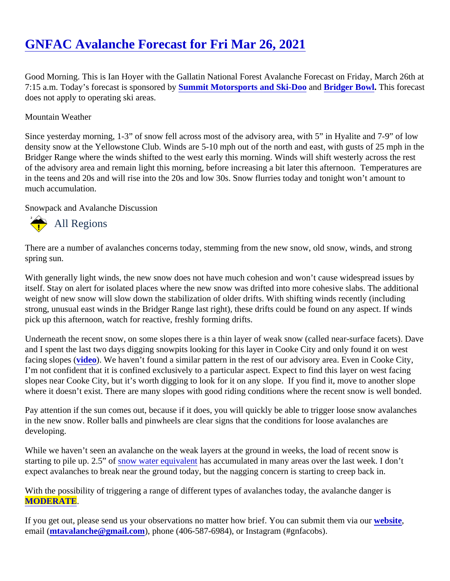Good Morning. This is Ian Hoyer with the Gallatin National Forest Avalanche Forecast on Friday, March 26th 7:15 a.m. Today's forecast is sponsored Summit Motorsports and Ski-Dooand [Bridger Bowl.](http://bridgerbowl.com/) This forecast does not apply to operating ski areas.

## Mountain Weather

Since yesterday morning, 1-3" of snow fell across most of the advisory area, with 5" in Hyalite and 7-9" of low density snow at the Yellowstone Club. Winds are 5-10 mph out of the north and east, with gusts of 25 mph in Bridger Range where the winds shifted to the west early this morning. Winds will shift westerly across the res of the advisory area and remain light this morning, before increasing a bit later this afternoon. Temperatures in the teens and 20s and will rise into the 20s and low 30s. Snow flurries today and tonight won't amount to much accumulation.

Snowpack and Avalanche Discussion

## All Regions

There are a number of avalanches concerns today, stemming from the new snow, old snow, winds, and strong spring sun.

With generally light winds, the new snow does not have much cohesion and won't cause widespread issues by itself. Stay on alert for isolated places where the new snow was drifted into more cohesive slabs. The addition weight of new snow will slow down the stabilization of older drifts. With shifting winds recently (including strong, unusual east winds in the Bridger Range last right), these drifts could be found on any aspect. If winds pick up this afternoon, watch for reactive, freshly forming drifts.

Underneath the recent snow, on some slopes there is a thin layer of weak snow (called near-surface facets). and I spent the last two days digging snowpits looking for this layer in Cooke City and only found it on west facing slopes (ideo). We haven't found a similar pattern in the rest of our advisory area. Even in Cooke City, I'm not confident that it is confined exclusively to a particular aspect. Expect to find this layer on west facing slopes near Cooke City, but it's worth digging to look for it on any slope. If you find it, move to another slope where it doesn't exist. There are many slopes with good riding conditions where the recent snow is well bonder

Pay attention if the sun comes out, because if it does, you will quickly be able to trigger loose snow avalanche in the new snow. Roller balls and pinwheels are clear signs that the conditions for loose avalanches are developing.

While we haven't seen an avalanche on the weak layers at the ground in weeks, the load of recent snow is startingto pile up. 2.5" of now water equivalent as accumulated in many areas over the last week. I don't expect avalanches to break near the ground today, but the nagging concern is starting to creep back in.

With the possibility of triggering a range of different types of avalanches today, the avalanche danger is [MODERATE](https://www.mtavalanche.com/images/DangerScale-small.jpg) .

If you get out, please send us your observations no matter how brief. You can submit them velasing email [\(mtavalanche@gmail.com](mailto:mtavalanche@gmail.com)), phone (406-587-6984), or Instagram (#gnfacobs).